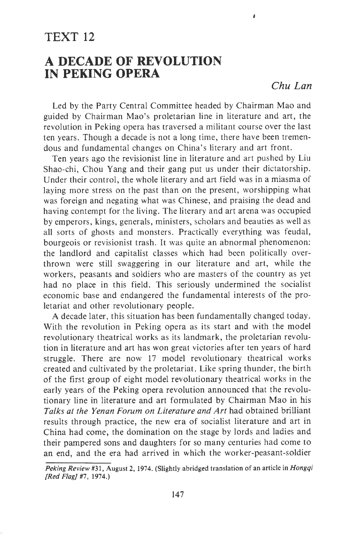# TEXT 12

# A DECADE OF REYOLUTION IN PEKING OPERA

## Chu Lan

Led by the Party Central Committee headed by Chairman Mao and guided by Chairman Mao's proletarian line in literature and art, the revolution in Peking opera has traversed a militant course over the last ten years. Though a decade is not a long time, there have been tremendous and fundamental changes on China's literary and art front.

Ten years ago the revisionist line in literature and art pushed by Liu Shao-chi, Chou Yang and their gang put us under their dictatorship. Under their control, the whole literary and art field was in a miasma of laying more stress on the past than on the present, worshipping what was foreign and negating what was Chinese, and praising the dead and having contempt for the living. The literary and art arena was occupied by emperors, kings, generals, ministers, scholars and beauties as well as all sorts of ghosts and monsters. Practically everything was feudal, bourgeois or revisionist trash. It was quite an abnormal phenomenon: the landlord and capitalist classes which had been politically overthrown were still swaggering in our literature and art, while the workers, peasants and soldiers who are masters of the country as yet had no place in this field. This seriously undermined the socialist economic base and endangered the fundamental interests of the proletariat and other revolutionary people.

A decade later, this situation has been fundamentally changed today. With the revolution in Peking opera as its start and with the model revolutionary theatrical works as its landmark, the proletarian revolution in literature and art has won great victories after ten years of hard struggle. There are now l7 model revolutionary theatrical works created and cultivated by the proletariat. Like spring thunder, the birth of the first group of eight model revolutionary theatrical works in the early years of the Peking opera revolution announced that the revolutionary line in literature and art formulated by Chairman Mao in his Talks at the Yenan Forum on Literature and Art had obtained brilliant results through practice, the new era of socialist literature and art in China had come, the domination on the stage by lords and ladies and their pampered sons and daughters for so many centuries had come to an end, and the era had arrived in which the worker-peasant-soldier

Peking Review #31, August 2, 1974. (Slightly abridged translation of an article in Hongqi [Red Flag] #7, 1974.)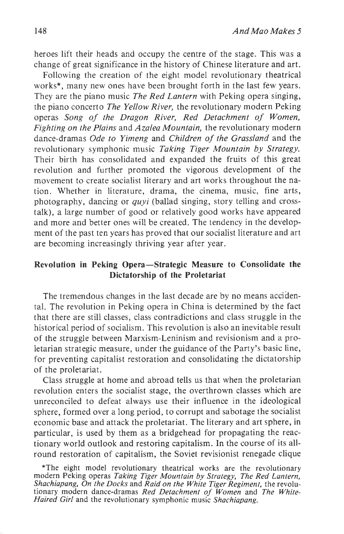heroes lift their heads and occupy the centre of the stage. This was <sup>a</sup> change of great significance in the history of Chinese literature and art.

Following the creation of the eight model revolutionary theatrical works\*, many new ones have been brought forth in the last few years. They are the piano music The Red Lantern with Peking opera singing, the piano concerto The Yellow River, the revolutionary modern Peking operas Song of the Dragon River, Red Detachment of Women, Fighting on the Plains and Azalea Mountain, the revolutionary modern dance-dramas Ode to Yimeng and Children of the Grassland and the revolutionary symphonic music Taking Tiger Mountain by Strategy. Their birth has consolidated and expanded the fruits of this great revolution and further promoted the vigorous development of the movement to create socialist literary and art works throughout the nation. Whether in literature, drama, the cinema, music, fine arts, photography, dancing or *quyi* (ballad singing, story telling and crosstalk), a large number of good or relatively good works have appeared and more and better ones will be created. The tendency in the development of the past ten years has proved that our socialist literature and art are becoming increasingly thriving year after year.

### Revolution in Peking Opera-Strategic Measure to Consolidate the Dictatorship of the Proletariat

The tremendous changes in the last decade are by no means accidental. The revolution in Peking opera in China is determined by the fact that there are still classes, class contradictions and class struggle in the historical period of socialism. This revolution is also an inevitable result of the struggle between Marxism-Leninism and revisionism and a proletarian strategic measure, under the guidance of the Party's basic line, for preventing capitalist restoration and consolidating the dictatorship of the proletariat.

Class struggle at home and abroad tells us that when the proletarian revolution enters the socialist stage, the overthrown classes which are unreconciled to defeat always use their influence in the ideological sphere, formed over a long period, to corrupt and sabotage the socialist economic base and attack the proletariat. The literary and art sphere, in particular, is used by them as a bridgehead for propagating the reactionary world outlook and restoring capitalism. In the course of its allround restoration of capitalism, the Soviet revisionist renegade clique

<sup>\*</sup>The eight model revolutionary theatrical works are the revolutionary modern Peking operas Taking Tiger Mountain by Strategy, The Red Lantern, Shachiapang, On the Docks and Raid on the White Tiger Regiment, the revolutionary modern dance-dramas Red Detachment of Women and The White-Haired Girl and the revolutionary symphonic music Shachiapang.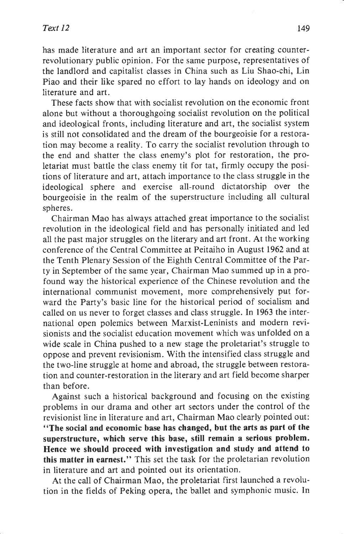has made literature and art an important sector for creating counterrevolutionary public opinion. For the same purpose, representatives of the landlord and capitalist classes in China such as Liu Shao-chi, Lin Piao and their like spared no effort to lay hands on ideology and on literature and art.

These facts show that with socialist revolution on the economic front alone but without a thoroughgoing socialist revolution on the political and ideological fronts, including literature and art, the socialist system is still not consolidated and the dream of the bourgeoisie for a restoration may become a reality. To carry the socialist revolution through to the end and shatter the class enemy's plot for restoration, the proletariat must battle the class enemy tit for tat, firmly occupy the positions of literature and art, attach importance to the class struggle in the ideological sphere and exercise all-round dictatorship over the bourgeoisie in the realm of the superstructure including all cultural spheres.

Chairman Mao has always attached great importance to the socialist revolution in the ideological field and has personally initiated and led all the past major struggles on the literary and art front. At the working conference of the Central Committee at Peitaiho in August 1962 and at the Tenth Plenary Session of the Eighth Central Committee of the Party in September of the same year, Chairman Mao summed up in a profound way the historical experience of the Chinese revolution and the international communist movement, more comprehensively put forward the Party's basic line for the historical period of socialism and called on us never to forget classes and class struggle. In 1963 the international open polemics between Marxist-Leninists and modern revisionists and the socialist education movement which was unfolded on a wide scale in China pushed to a new stage the proletariat's struggle to oppose and prevent revisionism. With the intensified class struggle and the two-line struggle at home and abroad, the struggle between restoration and counter-restoration in the literary and art field become sharper than before.

Against such a historical background and focusing on the existing problems in our drama and other art sectors under the control of the revisionist line in literature and art, Chairman Mao clearly pointed out: "The social and economic base has changed, but the arts as part of the superstructure, which serve this base, still remain a serious problem. Hence we should proceed with investigation and study and attend to this matter in earnest." This set the task for the proletarian revolution in literature and art and pointed out its orientation.

At the call of Chairman Mao, the proletariat first launched a revoiution in the fields of Peking opera, the ballet and symphonic music. In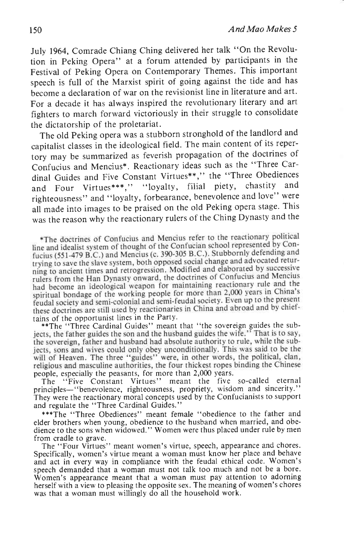July 1964, Comrade Chiang Ching delivered her talk "On the Revolution in Peking Opera" at a forum attended by participants in the Festival of Peking Opera on Contemporary Themes. This important speech is full of the Marxist spirit of going against the tide and has become a declaration of war on the revisionist line in literature and art. For a decade it has always inspired the revolutionary literary and art fighters to march forward victoriously in their struggle to consolidate the dictatorship of the proletariat.

The old Peking opera was a stubborn stronghold of the landlord and capitalist classes in the ideological field. The main content of its repertory may be summarized as feverish propagation of the doctrines of Confucius and Mencius\*. Reactionary ideas such as the "Three Cardinal Guides and Five Constant Virtues\*\*," the "Three Obediences and Four Virtues\*\*\*," "loyalty, filial piety, chastity righteousness" and "loyalty, forbearance, benevolence and love" were all made into images to be praised on the old Peking opera stage. This was the reason why the reactionary rulers of the Ching Dynasty and the

\*The doctrines of Confucius and Mencius refer to the reactionary political The doctrines of Confucials and Medicial Corp. Contractor of the Confucian school represented by Confucius (551-479 B.C.) and Mencius (c. 390-305 B.C.). Stubbornly defending and trying to save the slave system, both opposed social change and advocated returning to ancient times and retrogression. Modified and elaborated by successive rulers from the Han Dynasty onward, the doctrines of Confucius and Mencius had become an ideological weapon for maintaining reactionary rule and the spiritual bondage of the working people for more than 2,000 years in China's feudal society and semi-colonial and semi-feudal society. Even up to the present these doctrines are still used by reactionaries in China and abroad and by chieftains of the opportunist lines in the Party.

\*\*The "Three Cardinal Guides" meant that "the sovereign guides the sub-<br>jects, the father guides the son and the husband guides the wife." That is to say, the sovereign, father and husband had absolute authority to rule, while the subjects, sons and wives could only obey unconditionally. This was said to be the will of Heaven. The three "guides" were, in other words, the political, clan, religious and masculine authorities, the four thickest ropes binding the Chinese people, especially the peasants, for more than 2,000 years.

The "Five Constant Virtues" meant the five so-called eternal principles-"benevolence, righteousness, propriety, wisdom and sincerity." They were the reactionary moral concepts used by the Confucianists to support and regulate the "Three Cardinal Guides."

\*\*\*The "Three Obediences" meant female "obedience to the father and elder brothers when young, obedience to the husband when married, and obedience to the sons when widowed." Women were thus placed under rule by men from cradle to grave.

The "Four Virtues" meant women's virtue, speech, appearance and chores. Specifically, women's virtue meant a woman must know her place and behave and act in every way in compliance with the feudal ethical code. Women's speech demanded that a woman must not talk too much and not be a bore. Women's appearance meant that a woman must pay attention to adorning herself with a view to pleasing the opposite sex. The meaning of women's chores was that a woman must willingly do all the household work.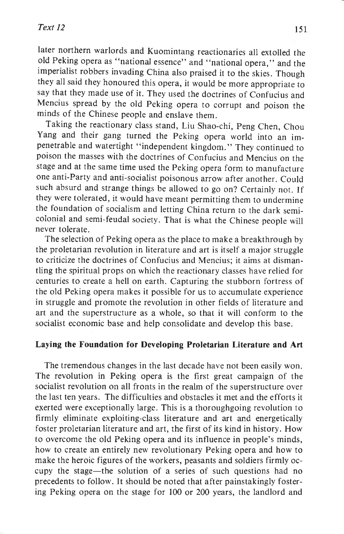later northern warlords and Kuomintang reactionaries all extolled the old Peking opera as "national essence" and "national opera," and the imperialist robbers invading China also praised it to the skies. Though they all said they honoured this opera, it would be more appropriate to say that they made use of it. They used the doctrines of confucius and Mencius spread by the old peking opera to corrupt and poison the minds of the Chinese people and enslave them.

Taking the reactionary class stand, Liu Shao-chi, peng Chen, Chou Yang and their gang turned the peking opera world into an im\_ penetrable and watertight "independent kingdom." They continued to poison the masses with the doctrines of confucius and Mencius on the stage and at the same time used the peking opera form to manufacture one anti-Party and anti-socialist poisonous arrow after another. could such absurd and strange things be allowed to go on? Certainly not. If they were tolerated, it would have meant permitting them to undermine the foundation of socialism and letting china return to the dark semicolonial and semi-feudal society. That is what the chinese people will never tolerate.

The selection of Peking opera as the place to make a breakthrough by the proletarian revolution in literature and art is itself a major struggle to criticize the doctrines of Confucius and Mencius; it aims at dismantling the spiritual props on which the reactionary classes have relied for centuries to create a hell on earth. Capturing the stubborn fortress of the old Peking opera makes it possible for us to accumulate experience in struggle and promote the revolution in other fields of literature and art and the superstructure as a whole, so that it will conform to the socialist economic base and help consolidate and develop this base.

#### Laying the Foundation for Developing Proletarian Literature and Art

The tremendous changes in the last decade have not been easily won. The revolution in Peking opera is the first great campaign of the socialist revolution on all fronts in the realm of the superstructure over the last ten years. The difficulties and obstacles it met and the efforts it exerted were exceptionally large. This is a thoroughgoing revolution to firmly eliminate exploiting-class literature and art and energetically foster proletarian literature and art, the first of its kind in history. How to overcome the old Peking opera and its influence in people's minds, how to create an entirely new revolutionary Peking opera and how to make the heroic figures of the workers, peasants and soldiers firmly occupy the stage-the solution of a series of such questions had no precedents to follow. It should be noted that after painstakingly fostering Peking opera on the stage for 100 or 200 years, the landlord and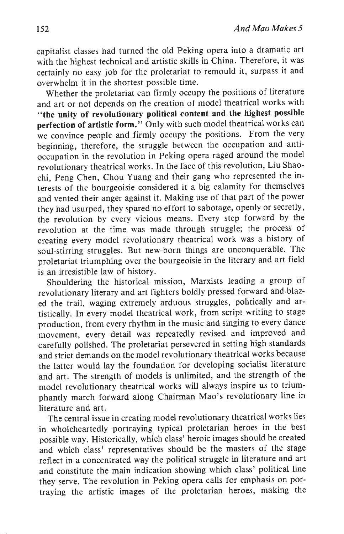capitalist classes had turned the old Peking opera into a dramatic art with the highest technical and artistic skills in China. Therefore, it was certainly no easy job for the proletariat to remould it, surpass it and overwhelm it in the shortest possible time,

Whether the proletariat can firmly occupy the positions of literature and art or not depends on the creation of model theatrical works with "the unity of revolutionary political content and the highest possible perfection of artistic form." Only with such model theatrical works can we convince people and firmly occupy the positions. From the very beginning, therefore, the struggle between the occupation and antioccupation in the revolution in Peking opera raged around the model revolutionary theatrical works. In the face of this revolution, Liu Shaochi, Peng Chen, Chou Yuang and their gang who represented the interests of the bourgeoisie considered it a big calamity for themselves and vented their anger against it. Making use of that part of the power they had usurped, they spared no effort to sabotage, openly or secretly, the revolution by every vicious means. Every step forward by the revolution at the time was made through struggle; the process of creating every model revolutionary theatrical work was a history of soul-stirring struggles. But new-born things are unconquerable. The proletariat triumphing over the bourgeoisie in the literary and art field is an irresistible law of history.

Shouldering the historical mission, Marxists leading a group of revolutionary literary and art fighters boldly pressed forward and'blaz' ed the trail, waging extremely arduous struggles, politically and artistically. In every model theatrical work, from script writing to stage production, from every rhythm in the music and singing to every dance movement, every detail was repeatedly revised and improved and carefully polished. The proletariat persevered in setting high standards and strict demands on the model revolutionary theatrical works because the latter would lay the foundation for developing socialist literature and art. The strength of models is unlimited, and the strength of the model revolutionary theatrical works will always inspire us to triumphantly march forward along Chairman Mao's revolutionary line in literature and art.

The central issue in creating model revolutionary theatrical works lies in wholeheartedly portraying typical proletarian heroes in the best possible way. Historically, which class' heroic images should be created and which class' representatives should be the masters of the stage reflect in a concentrated way the political struggle in literature and art and constitute the main indication showing which class' political line they serve. The revolution in Peking opera calls for emphasis on portraying the artistic images of the proletarian heroes, making the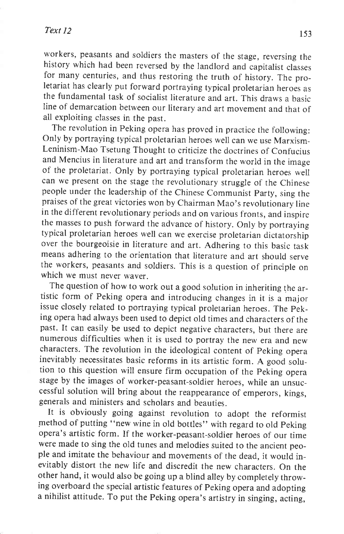workers, peasants and soldiers the masters of the stage, reversing the history which had been reversed by the landlord and capitalist classes for many centuries, and thus restoring the truth of history. The proletariat has clearly put forward portraying typical proletarian heroes as the fundamental task of socialist literature and art. This draws a basic line of demarcation between our literary and art movement and that of all exploiting classes in the past.

The revolution in Peking opera has proved in practice the following: only by portraying typical proletarian heroes well can we use Marxism-Leninism-Mao Tsetung Thought to criticize the doctrines of Confucius and Mencius in literature and art and transform the world in the image of the proletariat. only by portraying typical proletarian heroes well can we present on the stage the revolutionary struggle of the chinese people under the leadership of the Chinese Communist party, sing the praises of the great victories won by chairman Mao's revolutionary line in the different revolutionary periods and on various fronts, and inspire the masses to push forward the advance of history. Only by portraying typical proletarian heroes well can we exercise proletarian dictatorship over the bourgeoisie in literature and art. Adhering to this basic task means adhering to the orientation that literature and art should serve the workers, peasants and soldiers. This is a question of principle on which we must never waver.

The question of how to work out a good solution in inheriting the artistic form of Peking opera and introducing changes in it is a major issue closely related to portraying typical proletarian heroes. The peking opera had always been used to depict old times and characters of the past. It can easily be used to depict negative characters, but there are numerous difficulties when it is used to portray the new era and new characters. The revolution in the ideological content of peking opera inevitably necessitates basic reforms in its artistic form. A good solution to this question will ensure firm occupation of the peking opera stage by the images of worker-peasant-soldier heroes, while an unsuccessful solution will bring about the reappearance of emperors, kings, generals and ministers and scholars and beauties.

It is obviously going against revolution to adopt the reformist method of putting "new wine in old bottles" with regard to old Peking opera's artistic form. If the worker-peasant-soldier heroes of our time were made to sing the old tunes and melodies suited to the ancient people and imitate the behaviour and movements of the dead, it would inevitably distort the new life and discredit the new characters. on the other hand, it would also be going up a blind alley by completely throwing overboard the special artistic features of peking opera and adopting <sup>a</sup>nihilist attitude. To put the Peking opera's artistry in singing, acting,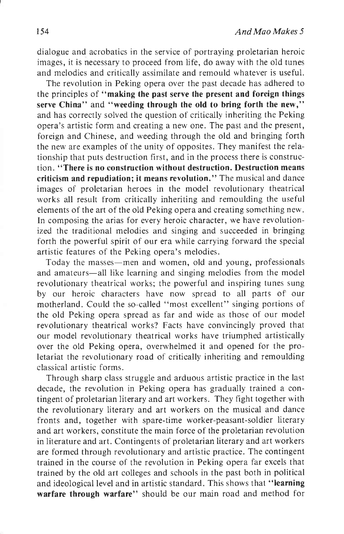dialogue and acrobatics in the service of portraying proletarian heroic images, it is necessary to proceed from life, do away with the old tunes and melodies and critically assimilate and remould whatever is useful.

The revolution in Peking opera over the past decade has adhered to the principles of "making the past serve the present and foreign things serve China" and "weeding through the old to bring forth the new," and has correctly solved the question of critically inheriting the Peking opera's artistic form and creating a new one. The past and the present, foreign and Chinese, and weeding through the old and bringing forth the new are examples of the unity of opposites. They manifest the relationship that puts destruction first, and in the process there is construction. "There is no construction without destruction. Destruction means criticism and repudiation; it means revolution." The musical and dance images of proletarian heroes in the model revolutionary theatrical works all result from critically inheriting and remoulding the useful elements of the art of the old Peking opera and creating something new. In composing the arias for every heroic character, we have revolutionized the traditional melodies and singing and succeeded in bringing forth the powerful spirit of our era while carrying forward the special artistic features of the Peking opera's melodies.

Today the masses-men and women, old and young, professionals and amateurs-all like learning and singing melodies from the model revolutionary theatrical works; the powerful and inspiring tunes sung by our heroic characters have now spread to all parts of' our motherland. Could the so-called "most excellent" singing portions of the old Peking opera spread as far and wide as those of our model revolutionary theatrical works? Facts have convincingly proved that our model revolutionary theatrical works have triumphed artistically over the old Peking opera, overwhelmed it and opened for the proletariat the revolutionary road of critically inheriting and remoulding classical artistic forms.

Through sharp class struggle and arduous artistic practice in the last decade, the revolution in Peking opera has gradually trained a contingent of proletarian literary and art workers. They fight together with the revolutionary literary and art workers on the musical and dance fronts and, together with spare-time worker-peasant-soldier literary and art workers, constitute the main force of the proletarian revolution in literature and art. Contingents of proletarian literary and art workers are formed through revolutionary and artistic practice. The contingent trained in the course of the revolution in Peking opera far excels that trained by the old art colleges and schools in the past both in political and ideological level and in artistic standard. This shows that "learning warfare through warfare" should be our main road and method for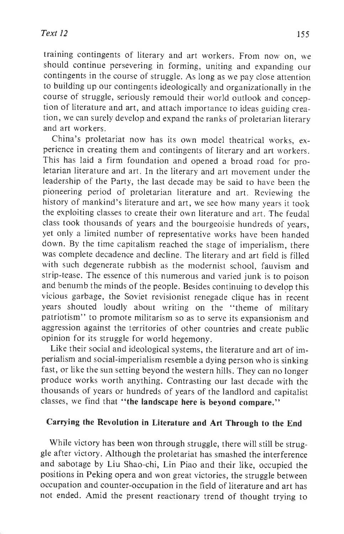training contingents of literary and art workers. From now on, we should continue persevering in forming, uniting and expanding our contingents in the course of struggle. As long as we pay close attention to building up our contingents ideologically and organizationally in the course of struggle, seriously remould their world outlook and conception of literature and art, and attach importance to ideas guiding creation, we can surely develop and expand the ranks of proletarian literary and art workers.

China's proletariat now has its own model theatrical works, experience in creating them and contingents of literary and art workers. This has laid a firm foundation and opened a broad road for proletarian literature and art. In the literary and art movement under the leadership of the Party, the last decade may be said to have been the pioneering period of proletarian literature and art. Reviewing the history of mankind's literature and art, we see how many years it took the exploiting classes to create their own literature and art. The feudal class took thousands of years and the bourgeoisie hundreds of years, yet only a limited number of representative works have been handed down. By the time capitalism reached the stage of imperialism, there was complete decadence and decline. The literary and art field is filled with such degenerate rubbish as the modernist school, fauvism and strip-tease. The essence of this numerous and varied junk is to poison and benumb the minds of the people. Besides continuing to develop this vicious garbage, the Soviet revisionist renegade clique has in recent years shouted loudly about writing on the "theme of military patriotism" to promote militarism so as to serve its expansionism and aggression against the territories of other countries and create public opinion for its struggle for world hegemony.

Like their social and ideological systems, the literature and art of imperialism and social-imperialism resemble a dying person who is sinking fast, or like the sun setting beyond the western hills. They can no longer produce works worth anything. Contrasting our last decade with the thousands of years or hundreds of years of the landlord and capitalist classes, we find that "the landscape here is beyond compare."

## Carrying the Revolution in Literature and Art Through to the End

While victory has been won through struggle, there will still be struggle after victory. Although the proletariat has smashed the interference and sabotage by Liu Shao-chi, Lin Piao and their like, occupied the positions in Peking opera and won great victories, the struggle between occupation and counter-occupation in the field of literature and art has not ended. Amid the present reactionary trend of thought trying to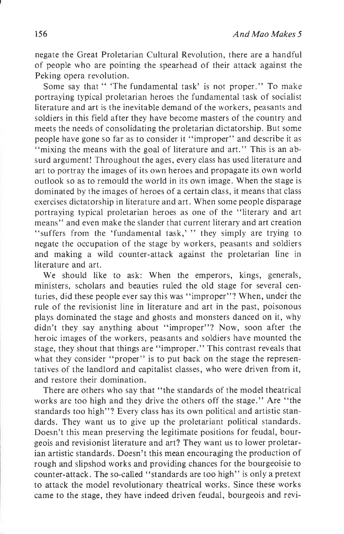negate the Great Proletarian Cultural Revolution, there are a handful of people who are pointing the spearhead of their attack against the Peking opera revolution.

Some say that " 'The fundamental task' is not proper." To make portraying typical proletarian heroes the fundamental task of socialist literature and art is the inevitable demand of the workers, peasants and soldiers in this field after they have become masters of the country and meets the needs of consolidating the proletarian dictatorship. But some people have gone so far as to consider it "improper" and describe it as "mixing the means with the goal of literature and art." This is an absurd argument! Throughout the ages, every class has used literature and art to portray the images of its own heroes and propagate its own world outlook so as to remould the world in its own image. When the stage is dominated by the images of heroes of a certain class, it means that class exercises dictatorship in literature and art. When some people disparage portraying typical proletarian heroes as one of the "literary and art means" and even make the slander that current literary and art creation "suffers from the 'fundamental task,' " they simply are trying to negate the occupation of the stage by workers, peasants and soldiers and making a wild counter-attack against the proletarian line in literature and art.

We should like to ask: When the emperors, kings, generals, ministers, scholars and beauties ruled the old stage for several centuries, did these people ever say this was "improper"? When, under the rule of the revisionist line in literature and art in the past, poisonous plays dominated the stage and ghosts and monsters danced on it, why didn't they say anything about "improper"? Now, soon after the heroic images of the workers, peasants and soldiers have mounted the stage, they shout that things are "improper." This contrast reveals that what they consider "proper" is to put back on the stage the representatives of the landlord and capitalist classes, who were driven from it, and restore their domination.

There are others who say that "the standards of the model theatrical works are too high and they drive the others off the stage." Are "the standards too high"? Every class has its own political and artistic standards. They want us to give up the proletariant political standards. Doesn't this mean preserving the legitimate positions for feudal, bourgeois and revisionist literature and art? They want us to lower proletarian artistic standards. Doesn't this mean encouraging the production of rough and slipshod works and providing chances for the bourgeoisie to counter-attack. The so-called "standards are too high" is only a pretext to attack the model revolutionary theatrical works. Since these works came to the stage, they have indeed driven feudal, bourgeois and revi-